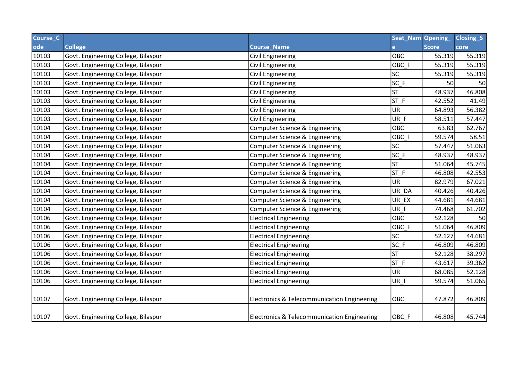| Course_C |                                     |                                             | Seat_Nam Opening_ |              | <b>Closing_S</b> |
|----------|-------------------------------------|---------------------------------------------|-------------------|--------------|------------------|
| ode      | <b>College</b>                      | <b>Course_Name</b>                          |                   | <b>Score</b> | core             |
| 10103    | Govt. Engineering College, Bilaspur | <b>Civil Engineering</b>                    | OBC               | 55.319       | 55.319           |
| 10103    | Govt. Engineering College, Bilaspur | <b>Civil Engineering</b>                    | OBC_F             | 55.319       | 55.319           |
| 10103    | Govt. Engineering College, Bilaspur | <b>Civil Engineering</b>                    | <b>SC</b>         | 55.319       | 55.319           |
| 10103    | Govt. Engineering College, Bilaspur | Civil Engineering                           | $SC_F$            | 50           | 50               |
| 10103    | Govt. Engineering College, Bilaspur | <b>Civil Engineering</b>                    | <b>ST</b>         | 48.937       | 46.808           |
| 10103    | Govt. Engineering College, Bilaspur | <b>Civil Engineering</b>                    | $ST_F$            | 42.552       | 41.49            |
| 10103    | Govt. Engineering College, Bilaspur | Civil Engineering                           | UR                | 64.893       | 56.382           |
| 10103    | Govt. Engineering College, Bilaspur | <b>Civil Engineering</b>                    | UR F              | 58.511       | 57.447           |
| 10104    | Govt. Engineering College, Bilaspur | Computer Science & Engineering              | OBC               | 63.83        | 62.767           |
| 10104    | Govt. Engineering College, Bilaspur | Computer Science & Engineering              | OBC_F             | 59.574       | 58.51            |
| 10104    | Govt. Engineering College, Bilaspur | Computer Science & Engineering              | <b>SC</b>         | 57.447       | 51.063           |
| 10104    | Govt. Engineering College, Bilaspur | Computer Science & Engineering              | $SC_F$            | 48.937       | 48.937           |
| 10104    | Govt. Engineering College, Bilaspur | Computer Science & Engineering              | ST                | 51.064       | 45.745           |
| 10104    | Govt. Engineering College, Bilaspur | Computer Science & Engineering              | $ST_F$            | 46.808       | 42.553           |
| 10104    | Govt. Engineering College, Bilaspur | Computer Science & Engineering              | <b>UR</b>         | 82.979       | 67.021           |
| 10104    | Govt. Engineering College, Bilaspur | Computer Science & Engineering              | UR_DA             | 40.426       | 40.426           |
| 10104    | Govt. Engineering College, Bilaspur | Computer Science & Engineering              | UR_EX             | 44.681       | 44.681           |
| 10104    | Govt. Engineering College, Bilaspur | Computer Science & Engineering              | UR_F              | 74.468       | 61.702           |
| 10106    | Govt. Engineering College, Bilaspur | <b>Electrical Engineering</b>               | OBC               | 52.128       | 50               |
| 10106    | Govt. Engineering College, Bilaspur | <b>Electrical Engineering</b>               | OBC_F             | 51.064       | 46.809           |
| 10106    | Govt. Engineering College, Bilaspur | <b>Electrical Engineering</b>               | <b>SC</b>         | 52.127       | 44.681           |
| 10106    | Govt. Engineering College, Bilaspur | <b>Electrical Engineering</b>               | $SC_F$            | 46.809       | 46.809           |
| 10106    | Govt. Engineering College, Bilaspur | <b>Electrical Engineering</b>               | <b>ST</b>         | 52.128       | 38.297           |
| 10106    | Govt. Engineering College, Bilaspur | <b>Electrical Engineering</b>               | ST F              | 43.617       | 39.362           |
| 10106    | Govt. Engineering College, Bilaspur | <b>Electrical Engineering</b>               | UR                | 68.085       | 52.128           |
| 10106    | Govt. Engineering College, Bilaspur | <b>Electrical Engineering</b>               | UR_F              | 59.574       | 51.065           |
|          |                                     |                                             |                   |              |                  |
| 10107    | Govt. Engineering College, Bilaspur | Electronics & Telecommunication Engineering | OBC               | 47.872       | 46.809           |
| 10107    | Govt. Engineering College, Bilaspur | Electronics & Telecommunication Engineering | OBC F             | 46.808       | 45.744           |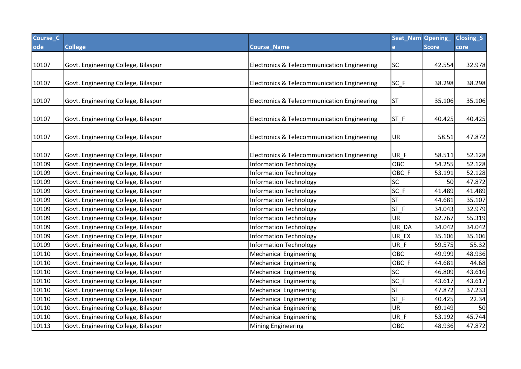| Course_C |                                     |                                                        | Seat_Nam Opening_ |              | Closing <sub>S</sub> |
|----------|-------------------------------------|--------------------------------------------------------|-------------------|--------------|----------------------|
| ode      | <b>College</b>                      | <b>Course_Name</b>                                     | e.                | <b>Score</b> | core                 |
|          |                                     |                                                        |                   |              |                      |
| 10107    | Govt. Engineering College, Bilaspur | Electronics & Telecommunication Engineering            | <b>SC</b>         | 42.554       | 32.978               |
|          |                                     |                                                        |                   |              |                      |
| 10107    | Govt. Engineering College, Bilaspur | Electronics & Telecommunication Engineering            | $SC_F$            | 38.298       | 38.298               |
|          |                                     |                                                        |                   |              |                      |
| 10107    | Govt. Engineering College, Bilaspur | <b>Electronics &amp; Telecommunication Engineering</b> | <b>ST</b>         | 35.106       | 35.106               |
|          |                                     |                                                        |                   |              |                      |
| 10107    | Govt. Engineering College, Bilaspur | <b>Electronics &amp; Telecommunication Engineering</b> | $ST_F$            | 40.425       | 40.425               |
|          |                                     |                                                        |                   |              |                      |
| 10107    | Govt. Engineering College, Bilaspur | Electronics & Telecommunication Engineering            | UR                | 58.51        | 47.872               |
| 10107    | Govt. Engineering College, Bilaspur | Electronics & Telecommunication Engineering            | UR_F              | 58.511       | 52.128               |
| 10109    | Govt. Engineering College, Bilaspur | <b>Information Technology</b>                          | OBC               | 54.255       | 52.128               |
| 10109    | Govt. Engineering College, Bilaspur | <b>Information Technology</b>                          | OBC_F             | 53.191       | 52.128               |
| 10109    | Govt. Engineering College, Bilaspur | <b>Information Technology</b>                          | SC                | 50           | 47.872               |
| 10109    | Govt. Engineering College, Bilaspur | <b>Information Technology</b>                          | $SC_F$            | 41.489       | 41.489               |
| 10109    | Govt. Engineering College, Bilaspur |                                                        | <b>ST</b>         | 44.681       | 35.107               |
| 10109    |                                     | <b>Information Technology</b>                          | ST_F              | 34.043       | 32.979               |
|          | Govt. Engineering College, Bilaspur | <b>Information Technology</b>                          | <b>UR</b>         |              |                      |
| 10109    | Govt. Engineering College, Bilaspur | <b>Information Technology</b>                          |                   | 62.767       | 55.319               |
| 10109    | Govt. Engineering College, Bilaspur | <b>Information Technology</b>                          | UR_DA             | 34.042       | 34.042               |
| 10109    | Govt. Engineering College, Bilaspur | <b>Information Technology</b>                          | UR_EX             | 35.106       | 35.106               |
| 10109    | Govt. Engineering College, Bilaspur | <b>Information Technology</b>                          | UR_F              | 59.575       | 55.32                |
| 10110    | Govt. Engineering College, Bilaspur | <b>Mechanical Engineering</b>                          | <b>OBC</b>        | 49.999       | 48.936               |
| 10110    | Govt. Engineering College, Bilaspur | <b>Mechanical Engineering</b>                          | OBC_F             | 44.681       | 44.68                |
| 10110    | Govt. Engineering College, Bilaspur | <b>Mechanical Engineering</b>                          | SC                | 46.809       | 43.616               |
| 10110    | Govt. Engineering College, Bilaspur | Mechanical Engineering                                 | $SC_F$            | 43.617       | 43.617               |
| 10110    | Govt. Engineering College, Bilaspur | <b>Mechanical Engineering</b>                          | <b>ST</b>         | 47.872       | 37.233               |
| 10110    | Govt. Engineering College, Bilaspur | <b>Mechanical Engineering</b>                          | $ST_F$            | 40.425       | 22.34                |
| 10110    | Govt. Engineering College, Bilaspur | <b>Mechanical Engineering</b>                          | <b>UR</b>         | 69.149       | 50                   |
| 10110    | Govt. Engineering College, Bilaspur | Mechanical Engineering                                 | UR_F              | 53.192       | 45.744               |
| 10113    | Govt. Engineering College, Bilaspur | Mining Engineering                                     | <b>OBC</b>        | 48.936       | 47.872               |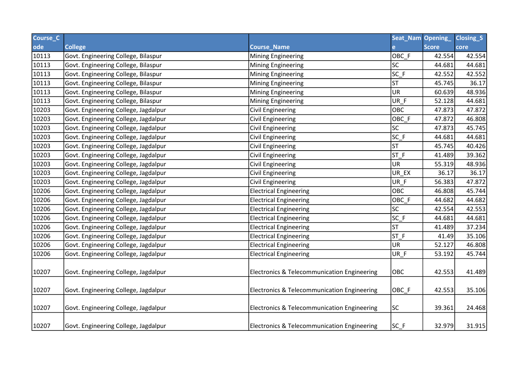| Course_C |                                      |                                                        | Seat_Nam Opening_ |              | Closing_S |
|----------|--------------------------------------|--------------------------------------------------------|-------------------|--------------|-----------|
| ode      | <b>College</b>                       | <b>Course_Name</b>                                     |                   | <b>Score</b> | core      |
| 10113    | Govt. Engineering College, Bilaspur  | <b>Mining Engineering</b>                              | OBC_F             | 42.554       | 42.554    |
| 10113    | Govt. Engineering College, Bilaspur  | <b>Mining Engineering</b>                              | <b>SC</b>         | 44.681       | 44.681    |
| 10113    | Govt. Engineering College, Bilaspur  | <b>Mining Engineering</b>                              | $SC_F$            | 42.552       | 42.552    |
| 10113    | Govt. Engineering College, Bilaspur  | <b>Mining Engineering</b>                              | <b>ST</b>         | 45.745       | 36.17     |
| 10113    | Govt. Engineering College, Bilaspur  | Mining Engineering                                     | UR.               | 60.639       | 48.936    |
| 10113    | Govt. Engineering College, Bilaspur  | <b>Mining Engineering</b>                              | UR_F              | 52.128       | 44.681    |
| 10203    | Govt. Engineering College, Jagdalpur | Civil Engineering                                      | OBC               | 47.873       | 47.872    |
| 10203    | Govt. Engineering College, Jagdalpur | <b>Civil Engineering</b>                               | OBC_F             | 47.872       | 46.808    |
| 10203    | Govt. Engineering College, Jagdalpur | <b>Civil Engineering</b>                               | <b>SC</b>         | 47.873       | 45.745    |
| 10203    | Govt. Engineering College, Jagdalpur | Civil Engineering                                      | $SC_F$            | 44.681       | 44.681    |
| 10203    | Govt. Engineering College, Jagdalpur | <b>Civil Engineering</b>                               | <b>ST</b>         | 45.745       | 40.426    |
| 10203    | Govt. Engineering College, Jagdalpur | <b>Civil Engineering</b>                               | $ST_F$            | 41.489       | 39.362    |
| 10203    | Govt. Engineering College, Jagdalpur | <b>Civil Engineering</b>                               | UR                | 55.319       | 48.936    |
| 10203    | Govt. Engineering College, Jagdalpur | Civil Engineering                                      | UR_EX             | 36.17        | 36.17     |
| 10203    | Govt. Engineering College, Jagdalpur | <b>Civil Engineering</b>                               | UR_F              | 56.383       | 47.872    |
| 10206    | Govt. Engineering College, Jagdalpur | <b>Electrical Engineering</b>                          | OBC               | 46.808       | 45.744    |
| 10206    | Govt. Engineering College, Jagdalpur | <b>Electrical Engineering</b>                          | OBC_F             | 44.682       | 44.682    |
| 10206    | Govt. Engineering College, Jagdalpur | <b>Electrical Engineering</b>                          | <b>SC</b>         | 42.554       | 42.553    |
| 10206    | Govt. Engineering College, Jagdalpur | <b>Electrical Engineering</b>                          | $SC_F$            | 44.681       | 44.681    |
| 10206    | Govt. Engineering College, Jagdalpur | <b>Electrical Engineering</b>                          | lst               | 41.489       | 37.234    |
| 10206    | Govt. Engineering College, Jagdalpur | <b>Electrical Engineering</b>                          | $ST_F$            | 41.49        | 35.106    |
| 10206    | Govt. Engineering College, Jagdalpur | <b>Electrical Engineering</b>                          | UR                | 52.127       | 46.808    |
| 10206    | Govt. Engineering College, Jagdalpur | <b>Electrical Engineering</b>                          | UR_F              | 53.192       | 45.744    |
|          |                                      |                                                        |                   |              |           |
| 10207    | Govt. Engineering College, Jagdalpur | <b>Electronics &amp; Telecommunication Engineering</b> | OBC               | 42.553       | 41.489    |
|          |                                      |                                                        |                   |              |           |
| 10207    | Govt. Engineering College, Jagdalpur | Electronics & Telecommunication Engineering            | OBC_F             | 42.553       | 35.106    |
|          |                                      |                                                        |                   |              |           |
| 10207    | Govt. Engineering College, Jagdalpur | <b>Electronics &amp; Telecommunication Engineering</b> | SC.               | 39.361       | 24.468    |
|          |                                      |                                                        |                   |              |           |
| 10207    | Govt. Engineering College, Jagdalpur | Electronics & Telecommunication Engineering            | $SC_F$            | 32.979       | 31.915    |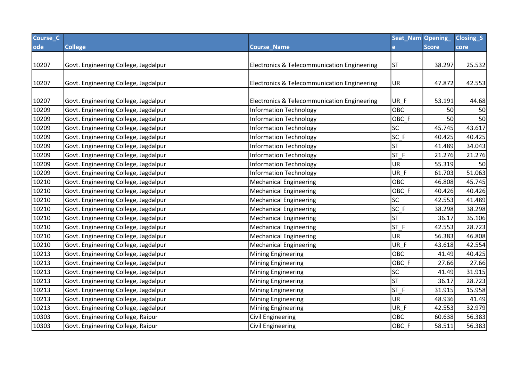| Course_C |                                      |                                             | Seat_Nam Opening_ |              | Closing_S |
|----------|--------------------------------------|---------------------------------------------|-------------------|--------------|-----------|
| ode      | <b>College</b>                       | <b>Course_Name</b>                          | e.                | <b>Score</b> | core      |
|          |                                      |                                             |                   |              |           |
| 10207    | Govt. Engineering College, Jagdalpur | Electronics & Telecommunication Engineering | <b>ST</b>         | 38.297       | 25.532    |
|          |                                      |                                             |                   |              |           |
| 10207    | Govt. Engineering College, Jagdalpur | Electronics & Telecommunication Engineering | UR                | 47.872       | 42.553    |
|          |                                      |                                             |                   |              |           |
| 10207    | Govt. Engineering College, Jagdalpur | Electronics & Telecommunication Engineering | UR_F              | 53.191       | 44.68     |
| 10209    | Govt. Engineering College, Jagdalpur | <b>Information Technology</b>               | OBC               | 50           | 50        |
| 10209    | Govt. Engineering College, Jagdalpur | <b>Information Technology</b>               | OBC_F             | 50           | 50        |
| 10209    | Govt. Engineering College, Jagdalpur | <b>Information Technology</b>               | <b>SC</b>         | 45.745       | 43.617    |
| 10209    | Govt. Engineering College, Jagdalpur | <b>Information Technology</b>               | $SC_F$            | 40.425       | 40.425    |
| 10209    | Govt. Engineering College, Jagdalpur | <b>Information Technology</b>               | <b>ST</b>         | 41.489       | 34.043    |
| 10209    | Govt. Engineering College, Jagdalpur | <b>Information Technology</b>               | ST_F              | 21.276       | 21.276    |
| 10209    | Govt. Engineering College, Jagdalpur | <b>Information Technology</b>               | UR                | 55.319       | 50        |
| 10209    | Govt. Engineering College, Jagdalpur | <b>Information Technology</b>               | $UR_F$            | 61.703       | 51.063    |
| 10210    | Govt. Engineering College, Jagdalpur | Mechanical Engineering                      | <b>OBC</b>        | 46.808       | 45.745    |
| 10210    | Govt. Engineering College, Jagdalpur | <b>Mechanical Engineering</b>               | OBC_F             | 40.426       | 40.426    |
| 10210    | Govt. Engineering College, Jagdalpur | <b>Mechanical Engineering</b>               | SC                | 42.553       | 41.489    |
| 10210    | Govt. Engineering College, Jagdalpur | <b>Mechanical Engineering</b>               | $SC_F$            | 38.298       | 38.298    |
| 10210    | Govt. Engineering College, Jagdalpur | Mechanical Engineering                      | <b>ST</b>         | 36.17        | 35.106    |
| 10210    | Govt. Engineering College, Jagdalpur | <b>Mechanical Engineering</b>               | $ST_F$            | 42.553       | 28.723    |
| 10210    | Govt. Engineering College, Jagdalpur | Mechanical Engineering                      | UR                | 56.383       | 46.808    |
| 10210    | Govt. Engineering College, Jagdalpur | <b>Mechanical Engineering</b>               | UR_F              | 43.618       | 42.554    |
| 10213    | Govt. Engineering College, Jagdalpur | <b>Mining Engineering</b>                   | <b>OBC</b>        | 41.49        | 40.425    |
| 10213    | Govt. Engineering College, Jagdalpur | <b>Mining Engineering</b>                   | OBC_F             | 27.66        | 27.66     |
| 10213    | Govt. Engineering College, Jagdalpur | Mining Engineering                          | SC                | 41.49        | 31.915    |
| 10213    | Govt. Engineering College, Jagdalpur | Mining Engineering                          | ST                | 36.17        | 28.723    |
| 10213    | Govt. Engineering College, Jagdalpur | Mining Engineering                          | ST F              | 31.915       | 15.958    |
| 10213    | Govt. Engineering College, Jagdalpur | <b>Mining Engineering</b>                   | UR                | 48.936       | 41.49     |
| 10213    | Govt. Engineering College, Jagdalpur | <b>Mining Engineering</b>                   | UR F              | 42.553       | 32.979    |
| 10303    | Govt. Engineering College, Raipur    | <b>Civil Engineering</b>                    | OBC               | 60.638       | 56.383    |
| 10303    | Govt. Engineering College, Raipur    | Civil Engineering                           | OBC F             | 58.511       | 56.383    |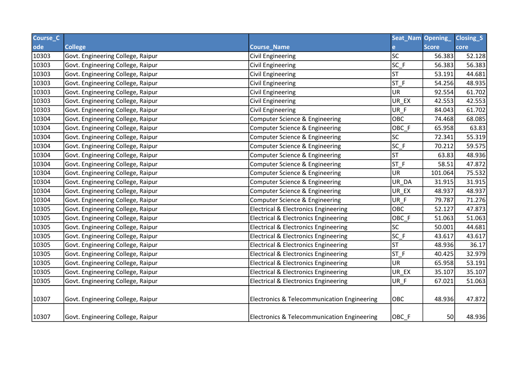| Course_C |                                   |                                                 | Seat_Nam Opening_        |              | Closing <sub>S</sub> |
|----------|-----------------------------------|-------------------------------------------------|--------------------------|--------------|----------------------|
| ode      | <b>College</b>                    | <b>Course_Name</b>                              |                          | <b>Score</b> | core                 |
| 10303    | Govt. Engineering College, Raipur | Civil Engineering                               | $\overline{\textsf{sc}}$ | 56.383       | 52.128               |
| 10303    | Govt. Engineering College, Raipur | Civil Engineering                               | $SC_F$                   | 56.383       | 56.383               |
| 10303    | Govt. Engineering College, Raipur | <b>Civil Engineering</b>                        | lst                      | 53.191       | 44.681               |
| 10303    | Govt. Engineering College, Raipur | <b>Civil Engineering</b>                        | $ST_F$                   | 54.256       | 48.935               |
| 10303    | Govt. Engineering College, Raipur | Civil Engineering                               | <b>UR</b>                | 92.554       | 61.702               |
| 10303    | Govt. Engineering College, Raipur | <b>Civil Engineering</b>                        | UR EX                    | 42.553       | 42.553               |
| 10303    | Govt. Engineering College, Raipur | <b>Civil Engineering</b>                        | UR F                     | 84.043       | 61.702               |
| 10304    | Govt. Engineering College, Raipur | Computer Science & Engineering                  | OBC                      | 74.468       | 68.085               |
| 10304    | Govt. Engineering College, Raipur | Computer Science & Engineering                  | OBC_F                    | 65.958       | 63.83                |
| 10304    | Govt. Engineering College, Raipur | Computer Science & Engineering                  | <b>SC</b>                | 72.341       | 55.319               |
| 10304    | Govt. Engineering College, Raipur | Computer Science & Engineering                  | $SC_F$                   | 70.212       | 59.575               |
| 10304    | Govt. Engineering College, Raipur | Computer Science & Engineering                  | ST                       | 63.83        | 48.936               |
| 10304    | Govt. Engineering College, Raipur | Computer Science & Engineering                  | $ST_F$                   | 58.51        | 47.872               |
| 10304    | Govt. Engineering College, Raipur | Computer Science & Engineering                  | <b>UR</b>                | 101.064      | 75.532               |
| 10304    | Govt. Engineering College, Raipur | <b>Computer Science &amp; Engineering</b>       | UR_DA                    | 31.915       | 31.915               |
| 10304    | Govt. Engineering College, Raipur | Computer Science & Engineering                  | UR_EX                    | 48.937       | 48.937               |
| 10304    | Govt. Engineering College, Raipur | Computer Science & Engineering                  | UR F                     | 79.787       | 71.276               |
| 10305    | Govt. Engineering College, Raipur | <b>Electrical &amp; Electronics Engineering</b> | OBC                      | 52.127       | 47.873               |
| 10305    | Govt. Engineering College, Raipur | <b>Electrical &amp; Electronics Engineering</b> | OBC_F                    | 51.063       | 51.063               |
| 10305    | Govt. Engineering College, Raipur | <b>Electrical &amp; Electronics Engineering</b> | <b>SC</b>                | 50.001       | 44.681               |
| 10305    | Govt. Engineering College, Raipur | <b>Electrical &amp; Electronics Engineering</b> | $SC_F$                   | 43.617       | 43.617               |
| 10305    | Govt. Engineering College, Raipur | <b>Electrical &amp; Electronics Engineering</b> | ST                       | 48.936       | 36.17                |
| 10305    | Govt. Engineering College, Raipur | <b>Electrical &amp; Electronics Engineering</b> | $ST_F$                   | 40.425       | 32.979               |
| 10305    | Govt. Engineering College, Raipur | <b>Electrical &amp; Electronics Engineering</b> | <b>UR</b>                | 65.958       | 53.191               |
| 10305    | Govt. Engineering College, Raipur | <b>Electrical &amp; Electronics Engineering</b> | UR EX                    | 35.107       | 35.107               |
| 10305    | Govt. Engineering College, Raipur | <b>Electrical &amp; Electronics Engineering</b> | UR_F                     | 67.021       | 51.063               |
| 10307    | Govt. Engineering College, Raipur | Electronics & Telecommunication Engineering     | OBC                      | 48.936       | 47.872               |
| 10307    | Govt. Engineering College, Raipur | Electronics & Telecommunication Engineering     | OBC_F                    | 50           | 48.936               |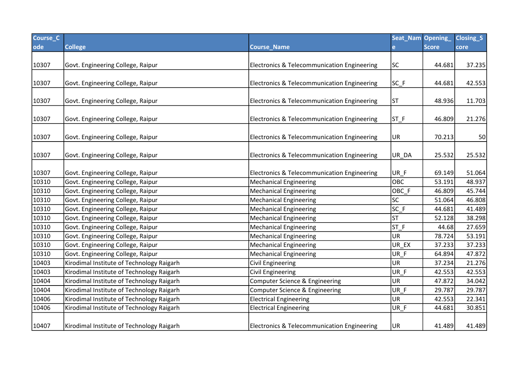| Course <sub>C</sub> |                                           |                                             | Seat_Nam Opening_ |              | <b>Closing_S</b> |
|---------------------|-------------------------------------------|---------------------------------------------|-------------------|--------------|------------------|
| ode                 | <b>College</b>                            | <b>Course_Name</b>                          | $\mathbf{e}$      | <b>Score</b> | core             |
|                     |                                           |                                             |                   |              |                  |
| 10307               | Govt. Engineering College, Raipur         | Electronics & Telecommunication Engineering | <b>SC</b>         | 44.681       | 37.235           |
|                     |                                           |                                             |                   |              |                  |
| 10307               | Govt. Engineering College, Raipur         | Electronics & Telecommunication Engineering | $SC_F$            | 44.681       | 42.553           |
|                     |                                           |                                             |                   |              |                  |
| 10307               | Govt. Engineering College, Raipur         | Electronics & Telecommunication Engineering | <b>ST</b>         | 48.936       | 11.703           |
|                     |                                           |                                             |                   |              |                  |
| 10307               | Govt. Engineering College, Raipur         | Electronics & Telecommunication Engineering | $ST_F$            | 46.809       | 21.276           |
|                     |                                           |                                             |                   |              |                  |
| 10307               | Govt. Engineering College, Raipur         | Electronics & Telecommunication Engineering | UR                | 70.213       | 50               |
|                     |                                           |                                             |                   |              |                  |
| 10307               | Govt. Engineering College, Raipur         | Electronics & Telecommunication Engineering | UR_DA             | 25.532       | 25.532           |
|                     |                                           |                                             |                   |              |                  |
| 10307               | Govt. Engineering College, Raipur         | Electronics & Telecommunication Engineering | UR_F              | 69.149       | 51.064           |
| 10310               | Govt. Engineering College, Raipur         | Mechanical Engineering                      | OBC               | 53.191       | 48.937           |
| 10310               | Govt. Engineering College, Raipur         | <b>Mechanical Engineering</b>               | OBC_F             | 46.809       | 45.744           |
| 10310               | Govt. Engineering College, Raipur         | <b>Mechanical Engineering</b>               | SC                | 51.064       | 46.808           |
| 10310               | Govt. Engineering College, Raipur         | <b>Mechanical Engineering</b>               | $SC_F$            | 44.681       | 41.489           |
| 10310               | Govt. Engineering College, Raipur         | <b>Mechanical Engineering</b>               | <b>ST</b>         | 52.128       | 38.298           |
| 10310               | Govt. Engineering College, Raipur         | <b>Mechanical Engineering</b>               | $ST_F$            | 44.68        | 27.659           |
| 10310               | Govt. Engineering College, Raipur         | <b>Mechanical Engineering</b>               | UR                | 78.724       | 53.191           |
| 10310               | Govt. Engineering College, Raipur         | Mechanical Engineering                      | UR_EX             | 37.233       | 37.233           |
| 10310               | Govt. Engineering College, Raipur         | <b>Mechanical Engineering</b>               | UR_F              | 64.894       | 47.872           |
| 10403               | Kirodimal Institute of Technology Raigarh | <b>Civil Engineering</b>                    | UR                | 37.234       | 21.276           |
| 10403               | Kirodimal Institute of Technology Raigarh | <b>Civil Engineering</b>                    | UR F              | 42.553       | 42.553           |
| 10404               | Kirodimal Institute of Technology Raigarh | Computer Science & Engineering              | UR                | 47.872       | 34.042           |
| 10404               | Kirodimal Institute of Technology Raigarh | Computer Science & Engineering              | UR F              | 29.787       | 29.787           |
| 10406               | Kirodimal Institute of Technology Raigarh | <b>Electrical Engineering</b>               | UR                | 42.553       | 22.341           |
| 10406               | Kirodimal Institute of Technology Raigarh | <b>Electrical Engineering</b>               | UR_F              | 44.681       | 30.851           |
| 10407               | Kirodimal Institute of Technology Raigarh | Electronics & Telecommunication Engineering | UR                | 41.489       | 41.489           |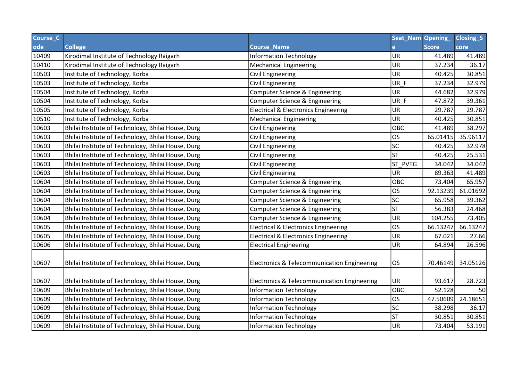| Course_C |                                                    |                                                 | Seat_Nam Opening_ |              | Closing <sub>S</sub> |
|----------|----------------------------------------------------|-------------------------------------------------|-------------------|--------------|----------------------|
| ode      | <b>College</b>                                     | <b>Course_Name</b>                              | e                 | <b>Score</b> | core                 |
| 10409    | Kirodimal Institute of Technology Raigarh          | <b>Information Technology</b>                   | <b>UR</b>         | 41.489       | 41.489               |
| 10410    | Kirodimal Institute of Technology Raigarh          | <b>Mechanical Engineering</b>                   | UR                | 37.234       | 36.17                |
| 10503    | Institute of Technology, Korba                     | <b>Civil Engineering</b>                        | UR                | 40.425       | 30.851               |
| 10503    | Institute of Technology, Korba                     | <b>Civil Engineering</b>                        | UR_F              | 37.234       | 32.979               |
| 10504    | Institute of Technology, Korba                     | Computer Science & Engineering                  | <b>UR</b>         | 44.682       | 32.979               |
| 10504    | Institute of Technology, Korba                     | Computer Science & Engineering                  | UR_F              | 47.872       | 39.361               |
| 10505    | Institute of Technology, Korba                     | <b>Electrical &amp; Electronics Engineering</b> | <b>UR</b>         | 29.787       | 29.787               |
| 10510    | Institute of Technology, Korba                     | <b>Mechanical Engineering</b>                   | UR                | 40.425       | 30.851               |
| 10603    | Bhilai Institute of Technology, Bhilai House, Durg | <b>Civil Engineering</b>                        | OBC               | 41.489       | 38.297               |
| 10603    | Bhilai Institute of Technology, Bhilai House, Durg | <b>Civil Engineering</b>                        | OS                | 65.01415     | 35.96117             |
| 10603    | Bhilai Institute of Technology, Bhilai House, Durg | Civil Engineering                               | <b>SC</b>         | 40.425       | 32.978               |
| 10603    | Bhilai Institute of Technology, Bhilai House, Durg | <b>Civil Engineering</b>                        | lst               | 40.425       | 25.531               |
| 10603    | Bhilai Institute of Technology, Bhilai House, Durg | <b>Civil Engineering</b>                        | ST_PVTG           | 34.042       | 34.042               |
| 10603    | Bhilai Institute of Technology, Bhilai House, Durg | Civil Engineering                               | UR                | 89.363       | 41.489               |
| 10604    | Bhilai Institute of Technology, Bhilai House, Durg | Computer Science & Engineering                  | OBC               | 73.404       | 65.957               |
| 10604    | Bhilai Institute of Technology, Bhilai House, Durg | Computer Science & Engineering                  | los               | 92.13239     | 61.01692             |
| 10604    | Bhilai Institute of Technology, Bhilai House, Durg | Computer Science & Engineering                  | $\overline{SC}$   | 65.958       | 39.362               |
| 10604    | Bhilai Institute of Technology, Bhilai House, Durg | Computer Science & Engineering                  | <b>ST</b>         | 56.383       | 24.468               |
| 10604    | Bhilai Institute of Technology, Bhilai House, Durg | Computer Science & Engineering                  | UR                | 104.255      | 73.405               |
| 10605    | Bhilai Institute of Technology, Bhilai House, Durg | <b>Electrical &amp; Electronics Engineering</b> | los               | 66.13247     | 66.13247             |
| 10605    | Bhilai Institute of Technology, Bhilai House, Durg | <b>Electrical &amp; Electronics Engineering</b> | UR                | 67.021       | 27.66                |
| 10606    | Bhilai Institute of Technology, Bhilai House, Durg | <b>Electrical Engineering</b>                   | UR                | 64.894       | 26.596               |
| 10607    | Bhilai Institute of Technology, Bhilai House, Durg | Electronics & Telecommunication Engineering     | los               | 70.46149     | 34.05126             |
| 10607    | Bhilai Institute of Technology, Bhilai House, Durg | Electronics & Telecommunication Engineering     | UR.               | 93.617       | 28.723               |
| 10609    | Bhilai Institute of Technology, Bhilai House, Durg | <b>Information Technology</b>                   | OBC               | 52.128       | 50                   |
| 10609    | Bhilai Institute of Technology, Bhilai House, Durg | <b>Information Technology</b>                   | los               | 47.50609     | 24.18651             |
| 10609    | Bhilai Institute of Technology, Bhilai House, Durg | <b>Information Technology</b>                   | <b>SC</b>         | 38.298       | 36.17                |
| 10609    | Bhilai Institute of Technology, Bhilai House, Durg | <b>Information Technology</b>                   | lst               | 30.851       | 30.851               |
| 10609    | Bhilai Institute of Technology, Bhilai House, Durg | <b>Information Technology</b>                   | UR                | 73.404       | 53.191               |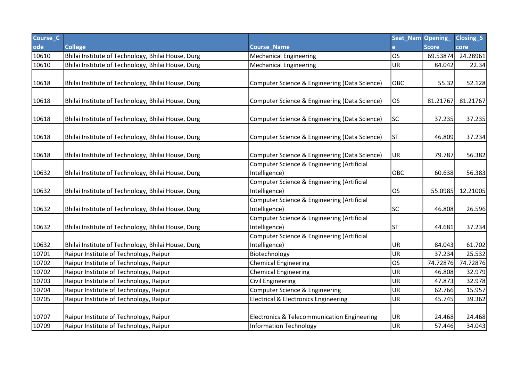| Course_C |                                                    |                                                 | Seat_Nam Opening_ |              | Closing <sub>S</sub> |
|----------|----------------------------------------------------|-------------------------------------------------|-------------------|--------------|----------------------|
| ode      | <b>College</b>                                     | <b>Course_Name</b>                              |                   | <b>Score</b> | core                 |
| 10610    | Bhilai Institute of Technology, Bhilai House, Durg | <b>Mechanical Engineering</b>                   | los               | 69.53874     | 24.28961             |
| 10610    | Bhilai Institute of Technology, Bhilai House, Durg | <b>Mechanical Engineering</b>                   | UR                | 84.042       | 22.34                |
|          |                                                    |                                                 |                   |              |                      |
| 10618    | Bhilai Institute of Technology, Bhilai House, Durg | Computer Science & Engineering (Data Science)   | OBC               | 55.32        | 52.128               |
|          |                                                    |                                                 |                   |              |                      |
| 10618    | Bhilai Institute of Technology, Bhilai House, Durg | Computer Science & Engineering (Data Science)   | los               | 81.21767     | 81.21767             |
|          |                                                    |                                                 |                   |              |                      |
| 10618    | Bhilai Institute of Technology, Bhilai House, Durg | Computer Science & Engineering (Data Science)   | SC                | 37.235       | 37.235               |
|          |                                                    |                                                 |                   |              |                      |
| 10618    | Bhilai Institute of Technology, Bhilai House, Durg | Computer Science & Engineering (Data Science)   | ST                | 46.809       | 37.234               |
|          |                                                    |                                                 |                   |              |                      |
| 10618    | Bhilai Institute of Technology, Bhilai House, Durg | Computer Science & Engineering (Data Science)   | UR.               | 79.787       | 56.382               |
|          |                                                    | Computer Science & Engineering (Artificial      |                   |              |                      |
| 10632    | Bhilai Institute of Technology, Bhilai House, Durg | Intelligence)                                   | <b>OBC</b>        | 60.638       | 56.383               |
|          |                                                    | Computer Science & Engineering (Artificial      |                   |              |                      |
| 10632    | Bhilai Institute of Technology, Bhilai House, Durg | Intelligence)                                   | los               | 55.0985      | 12.21005             |
|          |                                                    | Computer Science & Engineering (Artificial      |                   |              |                      |
| 10632    | Bhilai Institute of Technology, Bhilai House, Durg | Intelligence)                                   | SC                | 46.808       | 26.596               |
|          |                                                    | Computer Science & Engineering (Artificial      |                   |              |                      |
| 10632    | Bhilai Institute of Technology, Bhilai House, Durg | Intelligence)                                   | <b>ST</b>         | 44.681       | 37.234               |
|          |                                                    | Computer Science & Engineering (Artificial      |                   |              |                      |
| 10632    | Bhilai Institute of Technology, Bhilai House, Durg | Intelligence)                                   | UR                | 84.043       | 61.702               |
| 10701    | Raipur Institute of Technology, Raipur             | Biotechnology                                   | UR                | 37.234       | 25.532               |
| 10702    | Raipur Institute of Technology, Raipur             | <b>Chemical Engineering</b>                     | los               | 74.72876     | 74.72876             |
| 10702    | Raipur Institute of Technology, Raipur             | <b>Chemical Engineering</b>                     | UR                | 46.808       | 32.979               |
| 10703    | Raipur Institute of Technology, Raipur             | <b>Civil Engineering</b>                        | UR                | 47.873       | 32.978               |
| 10704    | Raipur Institute of Technology, Raipur             | Computer Science & Engineering                  | UR                | 62.766       | 15.957               |
| 10705    | Raipur Institute of Technology, Raipur             | <b>Electrical &amp; Electronics Engineering</b> | UR                | 45.745       | 39.362               |
|          |                                                    |                                                 |                   |              |                      |
| 10707    | Raipur Institute of Technology, Raipur             | Electronics & Telecommunication Engineering     | UR                | 24.468       | 24.468               |
| 10709    | Raipur Institute of Technology, Raipur             | <b>Information Technology</b>                   | UR                | 57.446       | 34.043               |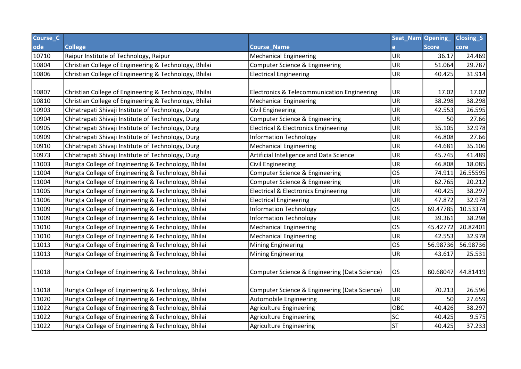| Course <sub>C</sub> |                                                       |                                                        | Seat_Nam  | Opening_     | Closing_S |
|---------------------|-------------------------------------------------------|--------------------------------------------------------|-----------|--------------|-----------|
| ode                 | <b>College</b>                                        | <b>Course_Name</b>                                     |           | <b>Score</b> | core      |
| 10710               | Raipur Institute of Technology, Raipur                | <b>Mechanical Engineering</b>                          | UR        | 36.17        | 24.469    |
| 10804               | Christian College of Engineering & Technology, Bhilai | Computer Science & Engineering                         | <b>UR</b> | 51.064       | 29.787    |
| 10806               | Christian College of Engineering & Technology, Bhilai | <b>Electrical Engineering</b>                          | UR        | 40.425       | 31.914    |
|                     |                                                       |                                                        |           |              |           |
| 10807               | Christian College of Engineering & Technology, Bhilai | <b>Electronics &amp; Telecommunication Engineering</b> | UR.       | 17.02        | 17.02     |
| 10810               | Christian College of Engineering & Technology, Bhilai | <b>Mechanical Engineering</b>                          | UR        | 38.298       | 38.298    |
| 10903               | Chhatrapati Shivaji Institute of Technology, Durg     | <b>Civil Engineering</b>                               | UR        | 42.553       | 26.595    |
| 10904               | Chhatrapati Shivaji Institute of Technology, Durg     | Computer Science & Engineering                         | <b>UR</b> | 50           | 27.66     |
| 10905               | Chhatrapati Shivaji Institute of Technology, Durg     | <b>Electrical &amp; Electronics Engineering</b>        | UR        | 35.105       | 32.978    |
| 10909               | Chhatrapati Shivaji Institute of Technology, Durg     | <b>Information Technology</b>                          | <b>UR</b> | 46.808       | 27.66     |
| 10910               | Chhatrapati Shivaji Institute of Technology, Durg     | <b>Mechanical Engineering</b>                          | UR        | 44.681       | 35.106    |
| 10973               | Chhatrapati Shivaji Institute of Technology, Durg     | Artificial Inteligence and Data Science                | <b>UR</b> | 45.745       | 41.489    |
| 11003               | Rungta College of Engineering & Technology, Bhilai    | <b>Civil Engineering</b>                               | UR        | 46.808       | 18.085    |
| 11004               | Rungta College of Engineering & Technology, Bhilai    | Computer Science & Engineering                         | los       | 74.911       | 26.55595  |
| 11004               | Rungta College of Engineering & Technology, Bhilai    | Computer Science & Engineering                         | <b>UR</b> | 62.765       | 20.212    |
| 11005               | Rungta College of Engineering & Technology, Bhilai    | <b>Electrical &amp; Electronics Engineering</b>        | <b>UR</b> | 40.425       | 38.297    |
| 11006               | Rungta College of Engineering & Technology, Bhilai    | <b>Electrical Engineering</b>                          | UR        | 47.872       | 32.978    |
| 11009               | Rungta College of Engineering & Technology, Bhilai    | <b>Information Technology</b>                          | los       | 69.47785     | 10.53374  |
| 11009               | Rungta College of Engineering & Technology, Bhilai    | <b>Information Technology</b>                          | UR        | 39.361       | 38.298    |
| 11010               | Rungta College of Engineering & Technology, Bhilai    | <b>Mechanical Engineering</b>                          | los       | 45.42772     | 20.82401  |
| 11010               | Rungta College of Engineering & Technology, Bhilai    | <b>Mechanical Engineering</b>                          | UR        | 42.553       | 32.978    |
| 11013               | Rungta College of Engineering & Technology, Bhilai    | <b>Mining Engineering</b>                              | los       | 56.98736     | 56.98736  |
| 11013               | Rungta College of Engineering & Technology, Bhilai    | <b>Mining Engineering</b>                              | UR        | 43.617       | 25.531    |
|                     |                                                       |                                                        |           |              |           |
| 11018               | Rungta College of Engineering & Technology, Bhilai    | Computer Science & Engineering (Data Science)          | los       | 80.68047     | 44.81419  |
|                     |                                                       |                                                        |           |              |           |
| 11018               | Rungta College of Engineering & Technology, Bhilai    | Computer Science & Engineering (Data Science)          | UR.       | 70.213       | 26.596    |
| 11020               | Rungta College of Engineering & Technology, Bhilai    | Automobile Engineering                                 | UR        | 50           | 27.659    |
| 11022               | Rungta College of Engineering & Technology, Bhilai    | Agriculture Engineering                                | OBC       | 40.426       | 38.297    |
| 11022               | Rungta College of Engineering & Technology, Bhilai    | <b>Agriculture Engineering</b>                         | <b>SC</b> | 40.425       | 9.575     |
| 11022               | Rungta College of Engineering & Technology, Bhilai    | <b>Agriculture Engineering</b>                         | <b>ST</b> | 40.425       | 37.233    |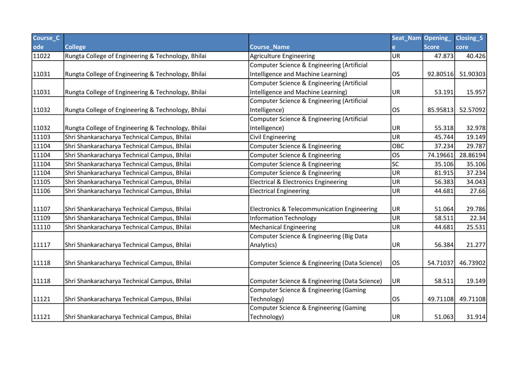| Course_C |                                                    |                                                 | Seat_Nam Opening_ |              | <b>Closing S</b> |
|----------|----------------------------------------------------|-------------------------------------------------|-------------------|--------------|------------------|
| ode      | <b>College</b>                                     | <b>Course Name</b>                              |                   | <b>Score</b> | core             |
| 11022    | Rungta College of Engineering & Technology, Bhilai | <b>Agriculture Engineering</b>                  | UR                | 47.873       | 40.426           |
|          |                                                    | Computer Science & Engineering (Artificial      |                   |              |                  |
| 11031    | Rungta College of Engineering & Technology, Bhilai | Intelligence and Machine Learning)              | los               | 92.80516     | 51.90303         |
|          |                                                    | Computer Science & Engineering (Artificial      |                   |              |                  |
| 11031    | Rungta College of Engineering & Technology, Bhilai | Intelligence and Machine Learning)              | UR                | 53.191       | 15.957           |
|          |                                                    | Computer Science & Engineering (Artificial      |                   |              |                  |
| 11032    | Rungta College of Engineering & Technology, Bhilai | Intelligence)                                   | los               | 85.95813     | 52.57092         |
|          |                                                    | Computer Science & Engineering (Artificial      |                   |              |                  |
| 11032    | Rungta College of Engineering & Technology, Bhilai | Intelligence)                                   | <b>UR</b>         | 55.318       | 32.978           |
| 11103    | Shri Shankaracharya Technical Campus, Bhilai       | <b>Civil Engineering</b>                        | UR                | 45.744       | 19.149           |
| 11104    | Shri Shankaracharya Technical Campus, Bhilai       | Computer Science & Engineering                  | OBC               | 37.234       | 29.787           |
| 11104    | Shri Shankaracharya Technical Campus, Bhilai       | Computer Science & Engineering                  | <b>OS</b>         | 74.19661     | 28.86194         |
| 11104    | Shri Shankaracharya Technical Campus, Bhilai       | Computer Science & Engineering                  | SC                | 35.106       | 35.106           |
| 11104    | Shri Shankaracharya Technical Campus, Bhilai       | Computer Science & Engineering                  | UR                | 81.915       | 37.234           |
| 11105    | Shri Shankaracharya Technical Campus, Bhilai       | <b>Electrical &amp; Electronics Engineering</b> | UR                | 56.383       | 34.043           |
| 11106    | Shri Shankaracharya Technical Campus, Bhilai       | <b>Electrical Engineering</b>                   | UR                | 44.681       | 27.66            |
|          |                                                    |                                                 |                   |              |                  |
| 11107    | Shri Shankaracharya Technical Campus, Bhilai       | Electronics & Telecommunication Engineering     | UR                | 51.064       | 29.786           |
| 11109    | Shri Shankaracharya Technical Campus, Bhilai       | <b>Information Technology</b>                   | UR                | 58.511       | 22.34            |
| 11110    | Shri Shankaracharya Technical Campus, Bhilai       | <b>Mechanical Engineering</b>                   | UR                | 44.681       | 25.531           |
|          |                                                    | Computer Science & Engineering (Big Data        |                   |              |                  |
| 11117    | Shri Shankaracharya Technical Campus, Bhilai       | Analytics)                                      | UR                | 56.384       | 21.277           |
|          |                                                    |                                                 |                   |              |                  |
| 11118    | Shri Shankaracharya Technical Campus, Bhilai       | Computer Science & Engineering (Data Science)   | OS                | 54.71037     | 46.73902         |
|          |                                                    |                                                 |                   |              |                  |
| 11118    | Shri Shankaracharya Technical Campus, Bhilai       | Computer Science & Engineering (Data Science)   | UR                | 58.511       | 19.149           |
|          |                                                    | Computer Science & Engineering (Gaming          |                   |              |                  |
| 11121    | Shri Shankaracharya Technical Campus, Bhilai       | Technology)                                     | OS                | 49.71108     | 49.71108         |
|          |                                                    | Computer Science & Engineering (Gaming          |                   |              |                  |
| 11121    | Shri Shankaracharya Technical Campus, Bhilai       | Technology)                                     | UR                | 51.063       | 31.914           |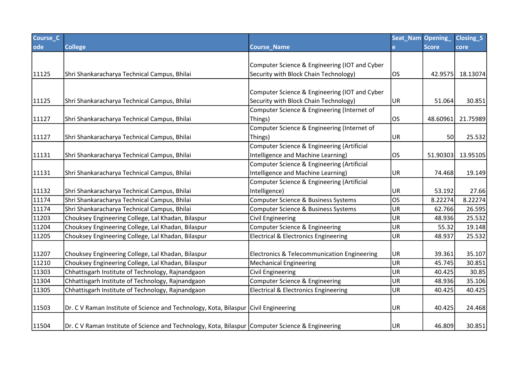| Course <sub>C</sub> |                                                                                                  |                                                 | Seat_Nam Opening |              | Closing <sub>S</sub> |
|---------------------|--------------------------------------------------------------------------------------------------|-------------------------------------------------|------------------|--------------|----------------------|
| ode                 | <b>College</b>                                                                                   | <b>Course Name</b>                              | e                | <b>Score</b> | core                 |
|                     |                                                                                                  |                                                 |                  |              |                      |
|                     |                                                                                                  | Computer Science & Engineering (IOT and Cyber   |                  |              |                      |
| 11125               | Shri Shankaracharya Technical Campus, Bhilai                                                     | Security with Block Chain Technology)           | los              | 42.9575      | 18.13074             |
|                     |                                                                                                  |                                                 |                  |              |                      |
|                     |                                                                                                  | Computer Science & Engineering (IOT and Cyber   |                  |              |                      |
| 11125               | Shri Shankaracharya Technical Campus, Bhilai                                                     | Security with Block Chain Technology)           | UR <sub>.</sub>  | 51.064       | 30.851               |
|                     |                                                                                                  | Computer Science & Engineering (Internet of     |                  |              |                      |
| 11127               | Shri Shankaracharya Technical Campus, Bhilai                                                     | Things)                                         | los              | 48.60961     | 21.75989             |
|                     |                                                                                                  | Computer Science & Engineering (Internet of     |                  |              |                      |
| 11127               | Shri Shankaracharya Technical Campus, Bhilai                                                     | Things)                                         | UR.              | 50           | 25.532               |
|                     |                                                                                                  | Computer Science & Engineering (Artificial      |                  |              |                      |
| 11131               | Shri Shankaracharya Technical Campus, Bhilai                                                     | Intelligence and Machine Learning)              | los              | 51.90303     | 13.95105             |
|                     |                                                                                                  | Computer Science & Engineering (Artificial      |                  |              |                      |
| 11131               | Shri Shankaracharya Technical Campus, Bhilai                                                     | Intelligence and Machine Learning)              | UR               | 74.468       | 19.149               |
|                     |                                                                                                  | Computer Science & Engineering (Artificial      |                  |              |                      |
| 11132               | Shri Shankaracharya Technical Campus, Bhilai                                                     | Intelligence)                                   | UR.              | 53.192       | 27.66                |
| 11174               | Shri Shankaracharya Technical Campus, Bhilai                                                     | Computer Science & Business Systems             | los              | 8.22274      | 8.22274              |
| 11174               | Shri Shankaracharya Technical Campus, Bhilai                                                     | Computer Science & Business Systems             | UR               | 62.766       | 26.595               |
| 11203               | Chouksey Engineering College, Lal Khadan, Bilaspur                                               | <b>Civil Engineering</b>                        | UR               | 48.936       | 25.532               |
| 11204               | Chouksey Engineering College, Lal Khadan, Bilaspur                                               | Computer Science & Engineering                  | UR               | 55.32        | 19.148               |
| 11205               | Chouksey Engineering College, Lal Khadan, Bilaspur                                               | <b>Electrical &amp; Electronics Engineering</b> | UR               | 48.937       | 25.532               |
|                     |                                                                                                  |                                                 |                  |              |                      |
| 11207               | Chouksey Engineering College, Lal Khadan, Bilaspur                                               | Electronics & Telecommunication Engineering     | UR.              | 39.361       | 35.107               |
| 11210               | Chouksey Engineering College, Lal Khadan, Bilaspur                                               | <b>Mechanical Engineering</b>                   | UR.              | 45.745       | 30.851               |
| 11303               | Chhattisgarh Institute of Technology, Rajnandgaon                                                | <b>Civil Engineering</b>                        | UR               | 40.425       | 30.85                |
| 11304               | Chhattisgarh Institute of Technology, Rajnandgaon                                                | Computer Science & Engineering                  | UR.              | 48.936       | 35.106               |
| 11305               | Chhattisgarh Institute of Technology, Rajnandgaon                                                | <b>Electrical &amp; Electronics Engineering</b> | UR               | 40.425       | 40.425               |
|                     |                                                                                                  |                                                 |                  |              |                      |
| 11503               | Dr. C V Raman Institute of Science and Technology, Kota, Bilaspur Civil Engineering              |                                                 | UR.              | 40.425       | 24.468               |
| 11504               | Dr. C V Raman Institute of Science and Technology, Kota, Bilaspur Computer Science & Engineering |                                                 | UR.              | 46.809       | 30.851               |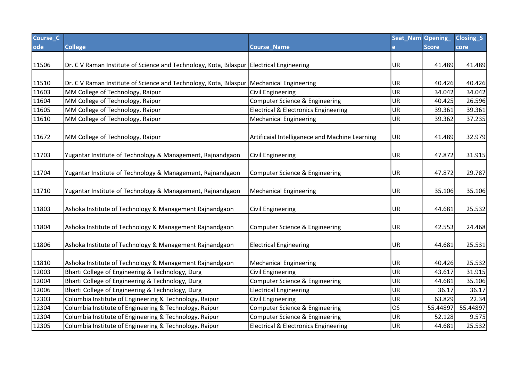| Course_C |                                                                                            |                                                 | Seat_Nam Opening_ |              | Closing <sub>S</sub> |
|----------|--------------------------------------------------------------------------------------------|-------------------------------------------------|-------------------|--------------|----------------------|
| ode      | <b>College</b>                                                                             | <b>Course_Name</b>                              | e.                | <b>Score</b> | core                 |
|          |                                                                                            |                                                 |                   |              |                      |
| 11506    | Dr. C V Raman Institute of Science and Technology, Kota, Bilaspur Electrical Engineering   |                                                 | UR                | 41.489       | 41.489               |
|          |                                                                                            |                                                 |                   |              |                      |
| 11510    | Dr. C V Raman Institute of Science and Technology, Kota, Bilaspur   Mechanical Engineering |                                                 | UR                | 40.426       | 40.426               |
| 11603    | MM College of Technology, Raipur                                                           | Civil Engineering                               | UR                | 34.042       | 34.042               |
| 11604    | MM College of Technology, Raipur                                                           | Computer Science & Engineering                  | <b>UR</b>         | 40.425       | 26.596               |
| 11605    | MM College of Technology, Raipur                                                           | <b>Electrical &amp; Electronics Engineering</b> | UR                | 39.361       | 39.361               |
| 11610    | MM College of Technology, Raipur                                                           | <b>Mechanical Engineering</b>                   | <b>UR</b>         | 39.362       | 37.235               |
|          |                                                                                            |                                                 |                   |              |                      |
| 11672    | MM College of Technology, Raipur                                                           | Artificaial Intelliganece and Machine Learning  | UR                | 41.489       | 32.979               |
|          |                                                                                            |                                                 |                   |              |                      |
| 11703    | Yugantar Institute of Technology & Management, Rajnandgaon                                 | <b>Civil Engineering</b>                        | UR                | 47.872       | 31.915               |
|          |                                                                                            |                                                 |                   |              |                      |
| 11704    | Yugantar Institute of Technology & Management, Rajnandgaon                                 | Computer Science & Engineering                  | UR                | 47.872       | 29.787               |
|          |                                                                                            |                                                 |                   |              |                      |
| 11710    | Yugantar Institute of Technology & Management, Rajnandgaon                                 | <b>Mechanical Engineering</b>                   | UR                | 35.106       | 35.106               |
|          |                                                                                            |                                                 |                   |              |                      |
| 11803    | Ashoka Institute of Technology & Management Rajnandgaon                                    | Civil Engineering                               | UR                | 44.681       | 25.532               |
|          |                                                                                            |                                                 |                   |              |                      |
| 11804    | Ashoka Institute of Technology & Management Rajnandgaon                                    | <b>Computer Science &amp; Engineering</b>       | UR                | 42.553       | 24.468               |
|          |                                                                                            |                                                 |                   |              |                      |
| 11806    | Ashoka Institute of Technology & Management Rajnandgaon                                    | <b>Electrical Engineering</b>                   | UR                | 44.681       | 25.531               |
|          |                                                                                            |                                                 |                   |              |                      |
| 11810    | Ashoka Institute of Technology & Management Rajnandgaon                                    | <b>Mechanical Engineering</b>                   | UR                | 40.426       | 25.532               |
| 12003    | Bharti College of Engineering & Technology, Durg                                           | <b>Civil Engineering</b>                        | UR                | 43.617       | 31.915               |
| 12004    | Bharti College of Engineering & Technology, Durg                                           | Computer Science & Engineering                  | UR                | 44.681       | 35.106               |
| 12006    | Bharti College of Engineering & Technology, Durg                                           | <b>Electrical Engineering</b>                   | UR                | 36.17        | 36.17                |
| 12303    | Columbia Institute of Engineering & Technology, Raipur                                     | <b>Civil Engineering</b>                        | UR                | 63.829       | 22.34                |
| 12304    | Columbia Institute of Engineering & Technology, Raipur                                     | Computer Science & Engineering                  | <b>OS</b>         | 55.44897     | 55.44897             |
| 12304    | Columbia Institute of Engineering & Technology, Raipur                                     | Computer Science & Engineering                  | UR                | 52.128       | 9.575                |
| 12305    | Columbia Institute of Engineering & Technology, Raipur                                     | <b>Electrical &amp; Electronics Engineering</b> | UR                | 44.681       | 25.532               |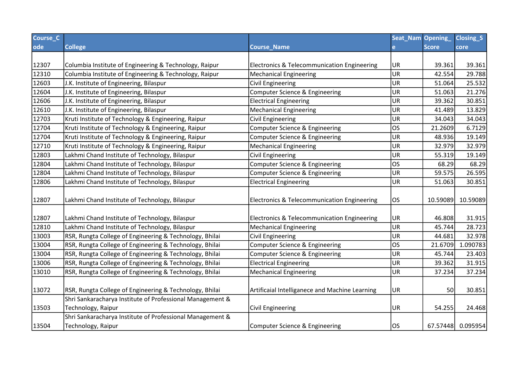| Course_C |                                                                                                                      |                                                        | Seat_Nam Opening_ |              | Closing <sub>S</sub> |
|----------|----------------------------------------------------------------------------------------------------------------------|--------------------------------------------------------|-------------------|--------------|----------------------|
| ode      | <b>College</b>                                                                                                       | <b>Course Name</b>                                     | e                 | <b>Score</b> | core                 |
|          |                                                                                                                      |                                                        |                   |              |                      |
| 12307    | Columbia Institute of Engineering & Technology, Raipur                                                               | Electronics & Telecommunication Engineering            | UR                | 39.361       | 39.361               |
| 12310    | Columbia Institute of Engineering & Technology, Raipur                                                               | <b>Mechanical Engineering</b>                          | UR                | 42.554       | 29.788               |
| 12603    | J.K. Institute of Engineering, Bilaspur                                                                              | <b>Civil Engineering</b>                               | UR                | 51.064       | 25.532               |
| 12604    | J.K. Institute of Engineering, Bilaspur                                                                              | Computer Science & Engineering                         | UR                | 51.063       | 21.276               |
| 12606    | J.K. Institute of Engineering, Bilaspur                                                                              | <b>Electrical Engineering</b>                          | UR                | 39.362       | 30.851               |
| 12610    | J.K. Institute of Engineering, Bilaspur                                                                              | <b>Mechanical Engineering</b>                          | UR                | 41.489       | 13.829               |
| 12703    | Kruti Institute of Technology & Engineering, Raipur                                                                  | <b>Civil Engineering</b>                               | UR                | 34.043       | 34.043               |
| 12704    | Kruti Institute of Technology & Engineering, Raipur                                                                  | Computer Science & Engineering                         | <b>OS</b>         | 21.2609      | 6.7129               |
| 12704    | Kruti Institute of Technology & Engineering, Raipur                                                                  | Computer Science & Engineering                         | UR                | 48.936       | 19.149               |
| 12710    | Kruti Institute of Technology & Engineering, Raipur                                                                  | <b>Mechanical Engineering</b>                          | UR                | 32.979       | 32.979               |
| 12803    | Lakhmi Chand Institute of Technology, Bilaspur                                                                       | <b>Civil Engineering</b>                               | UR                | 55.319       | 19.149               |
| 12804    | Lakhmi Chand Institute of Technology, Bilaspur                                                                       | Computer Science & Engineering                         | <b>OS</b>         | 68.29        | 68.29                |
| 12804    | Lakhmi Chand Institute of Technology, Bilaspur                                                                       | Computer Science & Engineering                         | UR                | 59.575       | 26.595               |
| 12806    | Lakhmi Chand Institute of Technology, Bilaspur                                                                       | <b>Electrical Engineering</b>                          | <b>UR</b>         | 51.063       | 30.851               |
| 12807    | Lakhmi Chand Institute of Technology, Bilaspur                                                                       | Electronics & Telecommunication Engineering            | OS                | 10.59089     | 10.59089             |
| 12807    | Lakhmi Chand Institute of Technology, Bilaspur                                                                       | <b>Electronics &amp; Telecommunication Engineering</b> | UR                | 46.808       | 31.915               |
| 12810    | Lakhmi Chand Institute of Technology, Bilaspur                                                                       | <b>Mechanical Engineering</b>                          | UR                | 45.744       | 28.723               |
| 13003    | RSR, Rungta College of Engineering & Technology, Bhilai                                                              | <b>Civil Engineering</b>                               | UR                | 44.681       | 32.978               |
| 13004    | RSR, Rungta College of Engineering & Technology, Bhilai                                                              | Computer Science & Engineering                         | <b>OS</b>         | 21.6709      | 1.090783             |
| 13004    | RSR, Rungta College of Engineering & Technology, Bhilai                                                              | Computer Science & Engineering                         | UR                | 45.744       | 23.403               |
| 13006    | RSR, Rungta College of Engineering & Technology, Bhilai                                                              | <b>Electrical Engineering</b>                          | <b>UR</b>         | 39.362       | 31.915               |
| 13010    | RSR, Rungta College of Engineering & Technology, Bhilai                                                              | <b>Mechanical Engineering</b>                          | UR                | 37.234       | 37.234               |
| 13072    | RSR, Rungta College of Engineering & Technology, Bhilai<br>Shri Sankaracharya Institute of Professional Management & | Artificaial Intelliganece and Machine Learning         | UR                | 50           | 30.851               |
| 13503    | Technology, Raipur                                                                                                   | <b>Civil Engineering</b>                               | UR                | 54.255       | 24.468               |
|          | Shri Sankaracharya Institute of Professional Management &                                                            |                                                        |                   |              |                      |
| 13504    | Technology, Raipur                                                                                                   | Computer Science & Engineering                         | los               |              | 67.57448 0.095954    |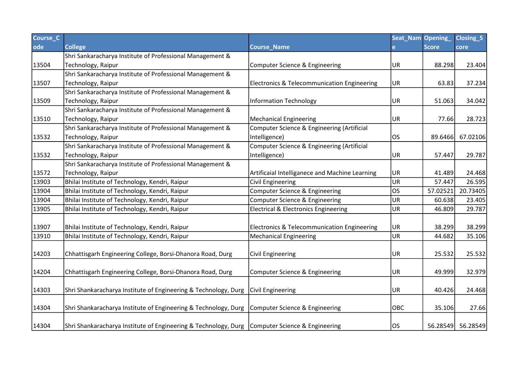| Course <sub>C</sub> |                                                                                                  |                                                 | Seat_Nam Opening |              | Closing <sub>S</sub> |
|---------------------|--------------------------------------------------------------------------------------------------|-------------------------------------------------|------------------|--------------|----------------------|
| ode                 | <b>College</b>                                                                                   | <b>Course Name</b>                              | e.               | <b>Score</b> | core                 |
|                     | Shri Sankaracharya Institute of Professional Management &                                        |                                                 |                  |              |                      |
| 13504               | Technology, Raipur                                                                               | Computer Science & Engineering                  | UR)              | 88.298       | 23.404               |
|                     | Shri Sankaracharya Institute of Professional Management &                                        |                                                 |                  |              |                      |
| 13507               | Technology, Raipur                                                                               | Electronics & Telecommunication Engineering     | UR.              | 63.83        | 37.234               |
|                     | Shri Sankaracharya Institute of Professional Management &                                        |                                                 |                  |              |                      |
| 13509               | Technology, Raipur                                                                               | <b>Information Technology</b>                   | UR)              | 51.063       | 34.042               |
|                     | Shri Sankaracharya Institute of Professional Management &                                        |                                                 |                  |              |                      |
| 13510               | Technology, Raipur                                                                               | <b>Mechanical Engineering</b>                   | UR]              | 77.66        | 28.723               |
|                     | Shri Sankaracharya Institute of Professional Management &                                        | Computer Science & Engineering (Artificial      |                  |              |                      |
| 13532               | Technology, Raipur                                                                               | Intelligence)                                   | OS               | 89.6466      | 67.02106             |
|                     | Shri Sankaracharya Institute of Professional Management &                                        | Computer Science & Engineering (Artificial      |                  |              |                      |
| 13532               | Technology, Raipur                                                                               | Intelligence)                                   | UR.              | 57.447       | 29.787               |
|                     | Shri Sankaracharya Institute of Professional Management &                                        |                                                 |                  |              |                      |
| 13572               | Technology, Raipur                                                                               | Artificaial Intelliganece and Machine Learning  | UR.              | 41.489       | 24.468               |
| 13903               | Bhilai Institute of Technology, Kendri, Raipur                                                   | Civil Engineering                               | UR.              | 57.447       | 26.595               |
| 13904               | Bhilai Institute of Technology, Kendri, Raipur                                                   | Computer Science & Engineering                  | los              | 57.02521     | 20.73405             |
| 13904               | Bhilai Institute of Technology, Kendri, Raipur                                                   | Computer Science & Engineering                  | UR.              | 60.638       | 23.405               |
| 13905               | Bhilai Institute of Technology, Kendri, Raipur                                                   | <b>Electrical &amp; Electronics Engineering</b> | UR)              | 46.809       | 29.787               |
|                     |                                                                                                  |                                                 |                  |              |                      |
| 13907               | Bhilai Institute of Technology, Kendri, Raipur                                                   | Electronics & Telecommunication Engineering     | UR.              | 38.299       | 38.299               |
| 13910               | Bhilai Institute of Technology, Kendri, Raipur                                                   | <b>Mechanical Engineering</b>                   | UR               | 44.682       | 35.106               |
|                     |                                                                                                  |                                                 |                  |              |                      |
| 14203               | Chhattisgarh Engineering College, Borsi-Dhanora Road, Durg                                       | <b>Civil Engineering</b>                        | UR.              | 25.532       | 25.532               |
|                     |                                                                                                  |                                                 |                  |              |                      |
| 14204               | Chhattisgarh Engineering College, Borsi-Dhanora Road, Durg                                       | Computer Science & Engineering                  | UR.              | 49.999       | 32.979               |
|                     |                                                                                                  |                                                 |                  |              |                      |
| 14303               | Shri Shankaracharya Institute of Engineering & Technology, Durg                                  | <b>Civil Engineering</b>                        | UR.              | 40.426       | 24.468               |
|                     |                                                                                                  |                                                 |                  |              |                      |
| 14304               | Shri Shankaracharya Institute of Engineering & Technology, Durg                                  | Computer Science & Engineering                  | OBC              | 35.106       | 27.66                |
|                     |                                                                                                  |                                                 |                  |              |                      |
| 14304               | Shri Shankaracharya Institute of Engineering & Technology, Durg   Computer Science & Engineering |                                                 | los              |              | 56.28549 56.28549    |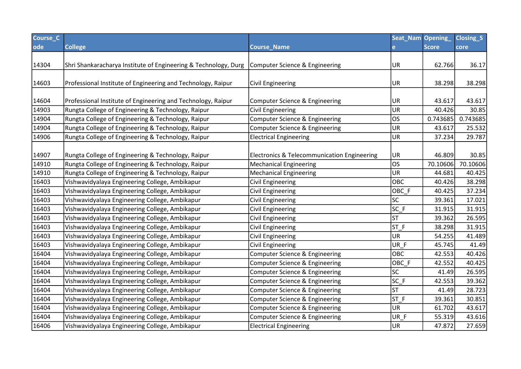| Course_C |                                                                                                  |                                                        | Seat_Nam Opening_ |              | Closing <sub>S</sub> |
|----------|--------------------------------------------------------------------------------------------------|--------------------------------------------------------|-------------------|--------------|----------------------|
| ode      | <b>College</b>                                                                                   | <b>Course_Name</b>                                     | e.                | <b>Score</b> | core                 |
|          |                                                                                                  |                                                        |                   |              |                      |
| 14304    | Shri Shankaracharya Institute of Engineering & Technology, Durg   Computer Science & Engineering |                                                        | UR                | 62.766       | 36.17                |
|          |                                                                                                  |                                                        |                   |              |                      |
| 14603    | Professional Institute of Engineering and Technology, Raipur                                     | Civil Engineering                                      | UR                | 38.298       | 38.298               |
|          |                                                                                                  |                                                        |                   |              |                      |
| 14604    | Professional Institute of Engineering and Technology, Raipur                                     | Computer Science & Engineering                         | UR                | 43.617       | 43.617               |
| 14903    | Rungta College of Engineering & Technology, Raipur                                               | <b>Civil Engineering</b>                               | UR                | 40.426       | 30.85                |
| 14904    | Rungta College of Engineering & Technology, Raipur                                               | <b>Computer Science &amp; Engineering</b>              | <b>OS</b>         | 0.743685     | 0.743685             |
| 14904    | Rungta College of Engineering & Technology, Raipur                                               | Computer Science & Engineering                         | UR                | 43.617       | 25.532               |
| 14906    | Rungta College of Engineering & Technology, Raipur                                               | <b>Electrical Engineering</b>                          | UR                | 37.234       | 29.787               |
|          |                                                                                                  |                                                        |                   |              |                      |
| 14907    | Rungta College of Engineering & Technology, Raipur                                               | <b>Electronics &amp; Telecommunication Engineering</b> | UR                | 46.809       | 30.85                |
| 14910    | Rungta College of Engineering & Technology, Raipur                                               | <b>Mechanical Engineering</b>                          | <b>OS</b>         | 70.10606     | 70.10606             |
| 14910    | Rungta College of Engineering & Technology, Raipur                                               | <b>Mechanical Engineering</b>                          | UR                | 44.681       | 40.425               |
| 16403    | Vishwavidyalaya Engineering College, Ambikapur                                                   | <b>Civil Engineering</b>                               | OBC               | 40.426       | 38.298               |
| 16403    | Vishwavidyalaya Engineering College, Ambikapur                                                   | <b>Civil Engineering</b>                               | OBC F             | 40.425       | 37.234               |
| 16403    | Vishwavidyalaya Engineering College, Ambikapur                                                   | <b>Civil Engineering</b>                               | SC                | 39.361       | 17.021               |
| 16403    | Vishwavidyalaya Engineering College, Ambikapur                                                   | <b>Civil Engineering</b>                               | $SC_F$            | 31.915       | 31.915               |
| 16403    | Vishwavidyalaya Engineering College, Ambikapur                                                   | <b>Civil Engineering</b>                               | <b>ST</b>         | 39.362       | 26.595               |
| 16403    | Vishwavidyalaya Engineering College, Ambikapur                                                   | <b>Civil Engineering</b>                               | ST_F              | 38.298       | 31.915               |
| 16403    | Vishwavidyalaya Engineering College, Ambikapur                                                   | <b>Civil Engineering</b>                               | UR                | 54.255       | 41.489               |
| 16403    | Vishwavidyalaya Engineering College, Ambikapur                                                   | <b>Civil Engineering</b>                               | UR F              | 45.745       | 41.49                |
| 16404    | Vishwavidyalaya Engineering College, Ambikapur                                                   | Computer Science & Engineering                         | OBC               | 42.553       | 40.426               |
| 16404    | Vishwavidyalaya Engineering College, Ambikapur                                                   | Computer Science & Engineering                         | OBC_F             | 42.552       | 40.425               |
| 16404    | Vishwavidyalaya Engineering College, Ambikapur                                                   | Computer Science & Engineering                         | SC                | 41.49        | 26.595               |
| 16404    | Vishwavidyalaya Engineering College, Ambikapur                                                   | <b>Computer Science &amp; Engineering</b>              | $SC_F$            | 42.553       | 39.362               |
| 16404    | Vishwavidyalaya Engineering College, Ambikapur                                                   | <b>Computer Science &amp; Engineering</b>              | <b>ST</b>         | 41.49        | 28.723               |
| 16404    | Vishwavidyalaya Engineering College, Ambikapur                                                   | Computer Science & Engineering                         | $ST_F$            | 39.361       | 30.851               |
| 16404    | Vishwavidyalaya Engineering College, Ambikapur                                                   | Computer Science & Engineering                         | <b>UR</b>         | 61.702       | 43.617               |
| 16404    | Vishwavidyalaya Engineering College, Ambikapur                                                   | Computer Science & Engineering                         | UR_F              | 55.319       | 43.616               |
| 16406    | Vishwavidyalaya Engineering College, Ambikapur                                                   | <b>Electrical Engineering</b>                          | <b>UR</b>         | 47.872       | 27.659               |